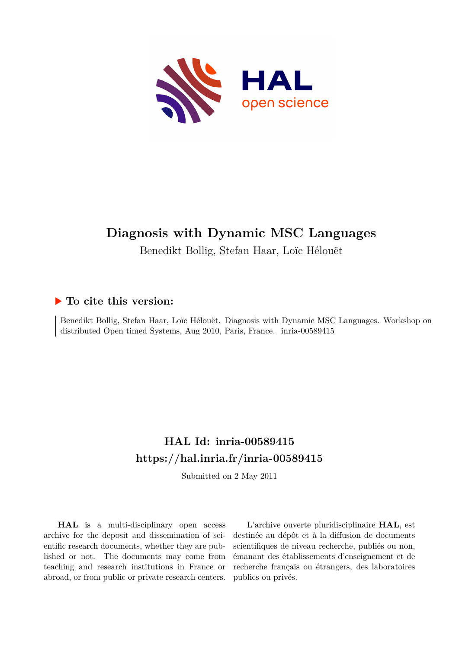

# **Diagnosis with Dynamic MSC Languages**

Benedikt Bollig, Stefan Haar, Loïc Hélouët

### **To cite this version:**

Benedikt Bollig, Stefan Haar, Loïc Hélouët. Diagnosis with Dynamic MSC Languages. Workshop on distributed Open timed Systems, Aug 2010, Paris, France. inria-00589415

## **HAL Id: inria-00589415 <https://hal.inria.fr/inria-00589415>**

Submitted on 2 May 2011

**HAL** is a multi-disciplinary open access archive for the deposit and dissemination of scientific research documents, whether they are published or not. The documents may come from teaching and research institutions in France or abroad, or from public or private research centers.

L'archive ouverte pluridisciplinaire **HAL**, est destinée au dépôt et à la diffusion de documents scientifiques de niveau recherche, publiés ou non, émanant des établissements d'enseignement et de recherche français ou étrangers, des laboratoires publics ou privés.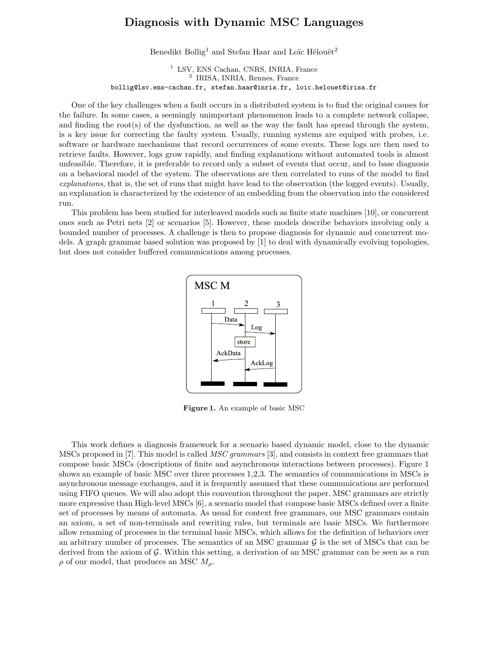#### **Diagnosis with Dynamic MSC Languages**

Benedikt Bollig<sup>1</sup> and Stefan Haar and Loïc Hélouët<sup>2</sup>

<sup>1</sup> LSV, ENS Cachan, CNRS, INRIA, France <sup>2</sup> IRISA, INRIA, Rennes, France bollig@lsv.ens-cachan.fr, stefan.haar@inria.fr, loic.helouet@irisa.fr

One of the key challenges when a fault occurs in a distributed system is to find the original causes for the failure. In some cases, a seemingly unimportant phenomenon leads to a complete network collapse, and finding the root(s) of the dysfunction, as well as the way the fault has spread through the system, is a key issue for correcting the faulty system. Usually, running systems are equiped with probes, i.e. software or hardware mechanisms that record occurrences of some events. These logs are then used to retrieve faults. However, logs grow rapidly, and finding explanations without automated tools is almost unfeasible. Therefore, it is preferable to record only a subset of events that occur, and to base diagnosis on a behavioral model of the system. The observations are then correlated to runs of the model to find *explanations*, that is, the set of runs that might have lead to the observation (the logged events). Usually, an explanation is characterized by the existence of an embedding from the observation into the considered run.

This problem has been studied for interleaved models such as finite state machines [10], or concurrent ones such as Petri nets [2] or scenarios [5]. However, these models describe behaviors involving only a bounded number of processes. A challenge is then to propose diagnosis for dynamic and concurrent models. A graph grammar based solution was proposed by [1] to deal with dynamically evolving topologies, but does not consider buffered communications among processes.



**Figure 1.** An example of basic MSC

This work defines a diagnosis framework for a scenario based dynamic model, close to the dynamic MSCs proposed in [7]. This model is called *MSC grammars* [3], and consists in context free grammars that compose basic MSCs (descriptions of finite and asynchronous interactions between processes). Figure 1 shows an example of basic MSC over three processes 1,2,3. The semantics of communications in MSCs is asynchronous message exchanges, and it is frequently assumed that these communications are performed using FIFO queues. We will also adopt this convention throughout the paper. MSC grammars are strictly more expressive than High-level MSCs [6], a scenario model that compose basic MSCs defined over a finite set of processes by means of automata. As usual for context free grammars, our MSC grammars contain an axiom, a set of non-terminals and rewriting rules, but terminals are basic MSCs. We furthermore allow renaming of processes in the terminal basic MSCs, which allows for the definition of behaviors over an arbitrary number of processes. The semantics of an MSC grammar  $\mathcal G$  is the set of MSCs that can be derived from the axiom of  $\mathcal{G}$ . Within this setting, a derivation of an MSC grammar can be seen as a run  $\rho$  of our model, that produces an MSC  $M_{\rho}$ .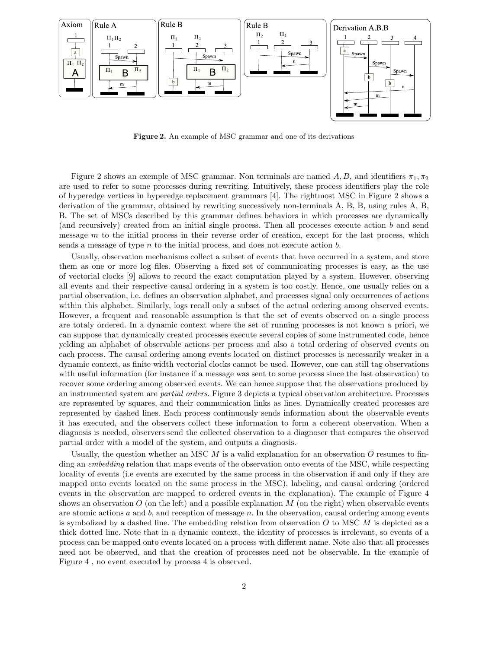

**Figure 2.** An example of MSC grammar and one of its derivations

Figure 2 shows an exemple of MSC grammar. Non terminals are named A, B, and identifiers  $\pi_1, \pi_2$ are used to refer to some processes during rewriting. Intuitively, these process identifiers play the role of hyperedge vertices in hyperedge replacement grammars [4]. The rightmost MSC in Figure 2 shows a derivation of the grammar, obtained by rewriting successively non-terminals A, B, B, using rules A, B, B. The set of MSCs described by this grammar defines behaviors in which processes are dynamically (and recursively) created from an initial single process. Then all processes execute action  $b$  and send message  $m$  to the initial process in their reverse order of creation, except for the last process, which sends a message of type  $n$  to the initial process, and does not execute action  $b$ .

Usually, observation mechanisms collect a subset of events that have occurred in a system, and store them as one or more log files. Observing a fixed set of communicating processes is easy, as the use of vectorial clocks [9] allows to record the exact computation played by a system. However, observing all events and their respective causal ordering in a system is too costly. Hence, one usually relies on a partial observation, i.e. defines an observation alphabet, and processes signal only occurrences of actions within this alphabet. Similarly, logs recall only a subset of the actual ordering among observed events. However, a frequent and reasonable assumption is that the set of events observed on a single process are totaly ordered. In a dynamic context where the set of running processes is not known a priori, we can suppose that dynamically created processes execute several copies of some instrumented code, hence yelding an alphabet of observable actions per process and also a total ordering of observed events on each process. The causal ordering among events located on distinct processes is necessarily weaker in a dynamic context, as finite width vectorial clocks cannot be used. However, one can still tag observations with useful information (for instance if a message was sent to some process since the last observation) to recover some ordering among observed events. We can hence suppose that the observations produced by an instrumented system are *partial orders*. Figure 3 depicts a typical observation architecture. Processes are represented by squares, and their communication links as lines. Dynamically created processes are represented by dashed lines. Each process continuously sends information about the observable events it has executed, and the observers collect these information to form a coherent observation. When a diagnosis is needed, observers send the collected observation to a diagnoser that compares the observed partial order with a model of the system, and outputs a diagnosis.

Usually, the question whether an MSC  $M$  is a valid explanation for an observation  $O$  resumes to finding an *embedding* relation that maps events of the observation onto events of the MSC, while respecting locality of events (i.e events are executed by the same process in the observation if and only if they are mapped onto events located on the same process in the MSC), labeling, and causal ordering (ordered events in the observation are mapped to ordered events in the explanation). The example of Figure 4 shows an observation  $O$  (on the left) and a possible explanation  $M$  (on the right) when observable events are atomic actions  $a$  and  $b$ , and reception of message  $n$ . In the observation, causal ordering among events is symbolized by a dashed line. The embedding relation from observation  $O$  to MSC  $M$  is depicted as a thick dotted line. Note that in a dynamic context, the identity of processes is irrelevant, so events of a process can be mapped onto events located on a process with different name. Note also that all processes need not be observed, and that the creation of processes need not be observable. In the example of Figure 4 , no event executed by process 4 is observed.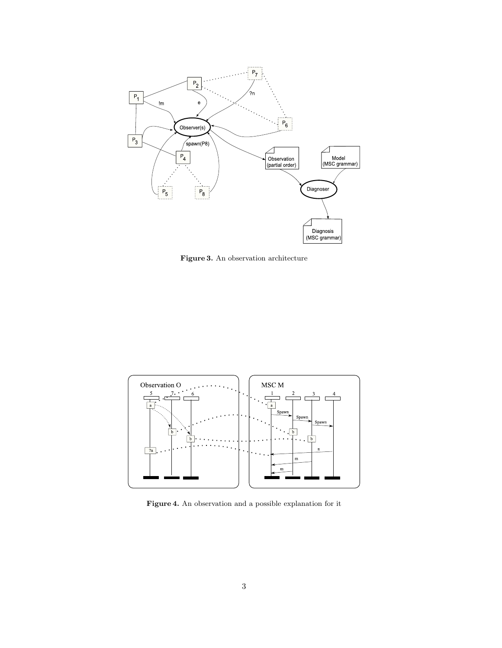

**Figure 3.** An observation architecture



**Figure 4.** An observation and a possible explanation for it